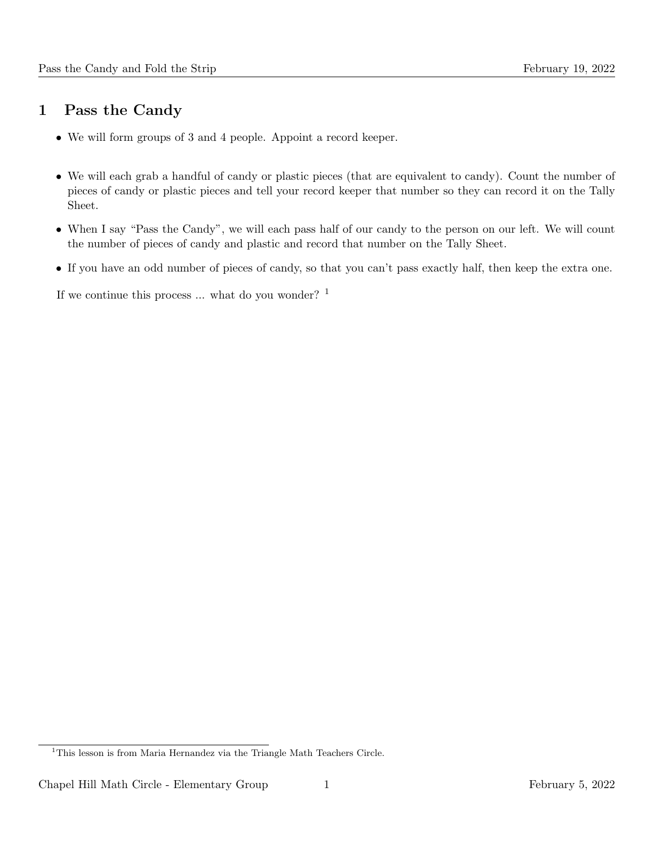## 1 Pass the Candy

- We will form groups of 3 and 4 people. Appoint a record keeper.
- We will each grab a handful of candy or plastic pieces (that are equivalent to candy). Count the number of pieces of candy or plastic pieces and tell your record keeper that number so they can record it on the Tally Sheet.
- When I say "Pass the Candy", we will each pass half of our candy to the person on our left. We will count the number of pieces of candy and plastic and record that number on the Tally Sheet.
- If you have an odd number of pieces of candy, so that you can't pass exactly half, then keep the extra one.

If we continue this process  $\ldots$  what do you wonder? <sup>1</sup>

<sup>&</sup>lt;sup>1</sup>This lesson is from Maria Hernandez via the Triangle Math Teachers Circle.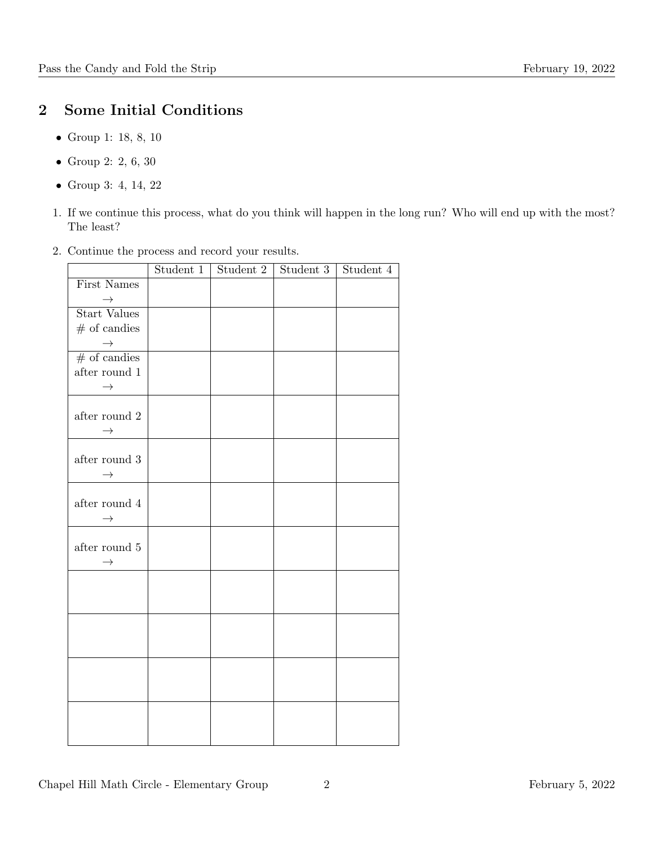## 2 Some Initial Conditions

- Group 1: 18, 8, 10
- Group 2: 2, 6, 30
- Group 3: 4, 14, 22
- 1. If we continue this process, what do you think will happen in the long run? Who will end up with the most? The least?
- 2. Continue the process and record your results.

|                     | Student 1 | Student 2 | Student 3 | Student 4 |
|---------------------|-----------|-----------|-----------|-----------|
| First Names         |           |           |           |           |
| $\longrightarrow$   |           |           |           |           |
| <b>Start Values</b> |           |           |           |           |
| $\#$ of candies     |           |           |           |           |
| $\rightarrow$       |           |           |           |           |
| $\#$ of candies     |           |           |           |           |
| after round $1$     |           |           |           |           |
| $\rightarrow$       |           |           |           |           |
|                     |           |           |           |           |
| after round $2\,$   |           |           |           |           |
| $\rightarrow$       |           |           |           |           |
|                     |           |           |           |           |
| after round 3       |           |           |           |           |
| $\rightarrow$       |           |           |           |           |
|                     |           |           |           |           |
| after round $4\,$   |           |           |           |           |
| $\rightarrow$       |           |           |           |           |
|                     |           |           |           |           |
| after round $5\,$   |           |           |           |           |
| $\rightarrow$       |           |           |           |           |
|                     |           |           |           |           |
|                     |           |           |           |           |
|                     |           |           |           |           |
|                     |           |           |           |           |
|                     |           |           |           |           |
|                     |           |           |           |           |
|                     |           |           |           |           |
|                     |           |           |           |           |
|                     |           |           |           |           |
|                     |           |           |           |           |
|                     |           |           |           |           |
|                     |           |           |           |           |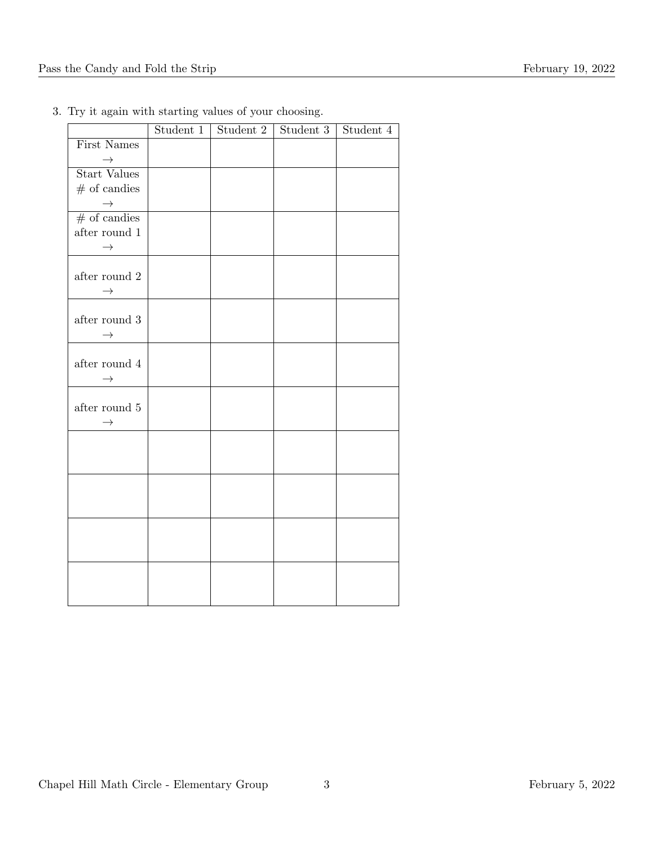| Student 1 | Student 3 | Student $4$ |
|-----------|-----------|-------------|
|           |           |             |
|           |           |             |
|           |           |             |
|           |           |             |
|           |           |             |
|           |           |             |
|           |           |             |
|           |           |             |
|           |           |             |
|           |           |             |
|           |           |             |
|           |           |             |
|           |           |             |
|           |           |             |
|           |           |             |
|           |           |             |
|           |           |             |
|           |           |             |
|           |           |             |
|           |           |             |
|           |           |             |
|           |           |             |
|           |           |             |
|           |           |             |
|           |           |             |
|           |           |             |
|           |           |             |
|           |           |             |
|           |           |             |
|           |           |             |
|           |           |             |
|           |           | Student 2   |

3. Try it again with starting values of your choosing.